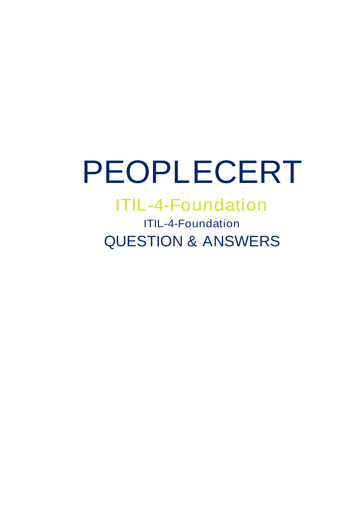# PEOPLECERT

ITIL-4-Foundation ITIL-4-Foundation QUESTION & ANSWERS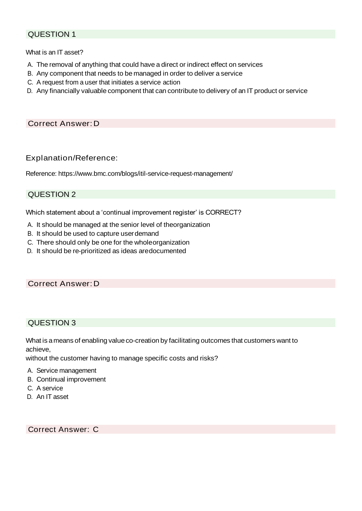What is an IT asset?

- A. The removal of anything that could have a direct or indirect effect on services
- B. Any component that needs to be managed in order to deliver a service
- C. A request from a user that initiates a service action
- D. Any financially valuable component that can contribute to delivery of an IT product or service

## Correct Answer:D

#### Explanation/Reference:

Reference: [https://www.bmc.com/blogs/itil-service-request-management/](http://www.bmc.com/blogs/itil-service-request-management/)

## QUESTION 2

Which statement about a 'continual improvement register' is CORRECT?

- A. It should be managed at the senior level of theorganization
- B. It should be used to capture userdemand
- C. There should only be one for the wholeorganization
- D. It should be re-prioritized as ideas aredocumented

#### Correct Answer:D

#### QUESTION 3

What is a means of enabling value co-creation by facilitating outcomes that customers want to achieve,

without the customer having to manage specific costs and risks?

- A. Service management
- B. Continual improvement
- C. A service
- D. An IT asset

Correct Answer: C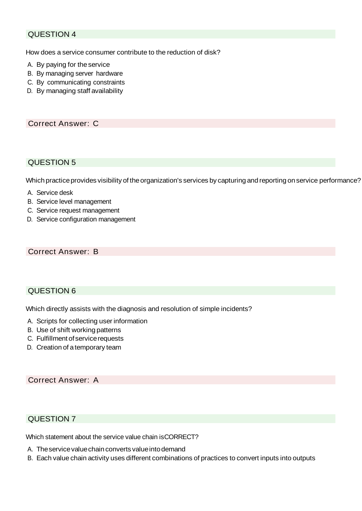How does a service consumer contribute to the reduction of disk?

- A. By paying for theservice
- B. By managing server hardware
- C. By communicating constraints
- D. By managing staff availability

#### Correct Answer: C

#### QUESTION 5

Which practice provides visibility of the organization's services by capturing and reporting on service performance?

- A. Service desk
- B. Service level management
- C. Service request management
- D. Service configuration management

#### Correct Answer: B

#### QUESTION 6

Which directly assists with the diagnosis and resolution of simple incidents?

- A. Scripts for collecting user information
- B. Use of shift working patterns
- C. Fulfillment of servicerequests
- D. Creation of atemporary team

#### Correct Answer: A

## QUESTION 7

Which statement about the service value chain isCORRECT?

- A. The service value chain converts value into demand
- B. Each value chain activity uses different combinations of practices to convert inputs into outputs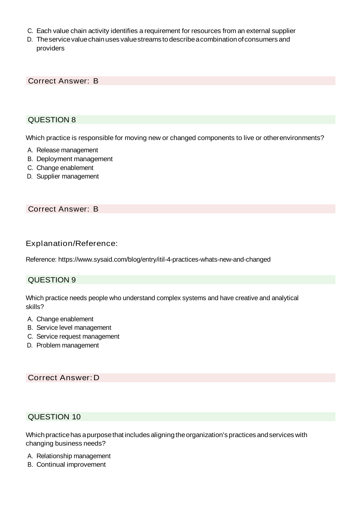- C. Each value chain activity identifies a requirement for resources from an external supplier
- D. Theservicevaluechainuses valuestreams todescribeacombinationofconsumers and providers

Correct Answer: B

## QUESTION 8

Which practice is responsible for moving new or changed components to live or otherenvironments?

- A. Release management
- B. Deployment management
- C. Change enablement
- D. Supplier management

#### Correct Answer: B

#### Explanation/Reference:

Reference: [https://www.sysaid.com/blog/entry/itil-4-practices-whats-new-and-changed](http://www.sysaid.com/blog/entry/itil-4-practices-whats-new-and-changed)

#### QUESTION 9

Which practice needs people who understand complex systems and have creative and analytical skills?

- A. Change enablement
- B. Service level management
- C. Service request management
- D. Problem management

#### Correct Answer:D

## QUESTION 10

Which practice has a purpose that includes aligning the organization's practices and services with changing business needs?

- A. Relationship management
- B. Continual improvement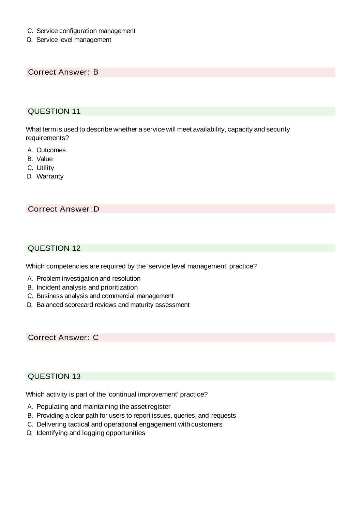- C. Service configuration management
- D. Service level management

Correct Answer: B

## QUESTION 11

What term is used to describe whether a service will meet availability, capacity and security requirements?

- A. Outcomes
- B. Value
- C. Utility
- D. Warranty

#### Correct Answer:D

## QUESTION 12

Which competencies are required by the 'service level management' practice?

- A. Problem investigation and resolution
- B. Incident analysis and prioritization
- C. Business analysis and commercial management
- D. Balanced scorecard reviews and maturity assessment

Correct Answer: C

## QUESTION 13

Which activity is part of the 'continual improvement' practice?

- A. Populating and maintaining the asset register
- B. Providing a clear path for users to report issues, queries, and requests
- C. Delivering tactical and operational engagement with customers
- D. Identifying and logging opportunities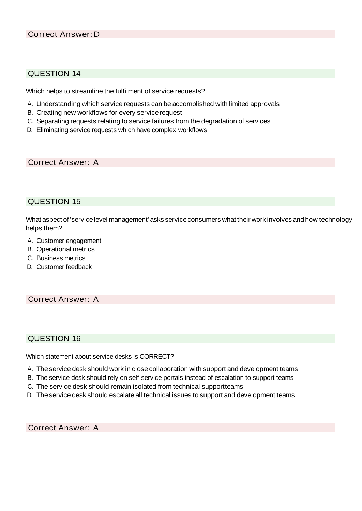Which helps to streamline the fulfilment of service requests?

- A. Understanding which service requests can be accomplished with limited approvals
- B. Creating new workflows for every servicerequest
- C. Separating requests relating to service failures from the degradation of services
- D. Eliminating service requests which have complex workflows

Correct Answer: A

#### QUESTION 15

What aspect of 'service level management' asks service consumers what their work involves and how technology helps them?

- A. Customer engagement
- B. Operational metrics
- C. Business metrics
- D. Customer feedback

## Correct Answer: A

#### QUESTION 16

Which statement about service desks is CORRECT?

- A. The service desk should work in close collaboration with support and development teams
- B. The service desk should rely on self-service portals instead of escalation to support teams
- C. The service desk should remain isolated from technical supportteams
- D. The service desk should escalate all technical issues to support and development teams

Correct Answer: A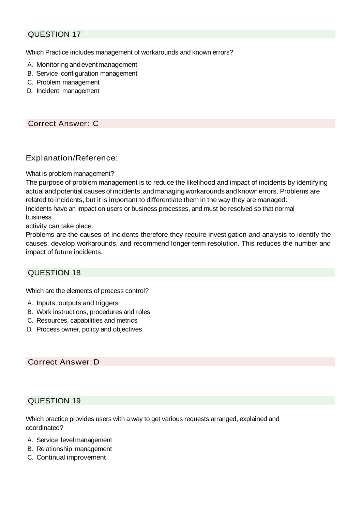Which Practice includes management of workarounds and known errors?

- A. Monitoringandeventmanagement
- B. Service configuration management
- C. Problem management
- D. Incident management

## Correct Answer: C

#### Explanation/Reference:

#### What is problem management?

The purpose of problem management is to reduce the likelihood and impact of incidents by identifying actual and potential causes of incidents, and managing workarounds and known errors. Problems are related to incidents, but it is important to differentiate them in the way they are managed: Incidents have an impact on users or business processes, and must be resolved so that normal business

activity can take place.

Problems are the causes of incidents therefore they require investigation and analysis to identify the causes, develop workarounds, and recommend longer-term resolution. This reduces the number and impact of future incidents.

#### QUESTION 18

Which are the elements of process control?

- A. Inputs, outputs and triggers
- B. Work instructions, procedures and roles
- C. Resources, capabilities and metrics
- D. Process owner, policy and objectives

#### Correct Answer:D

#### QUESTION 19

Which practice provides users with a way to get various requests arranged, explained and coordinated?

- A. Service level management
- B. Relationship management
- C. Continual improvement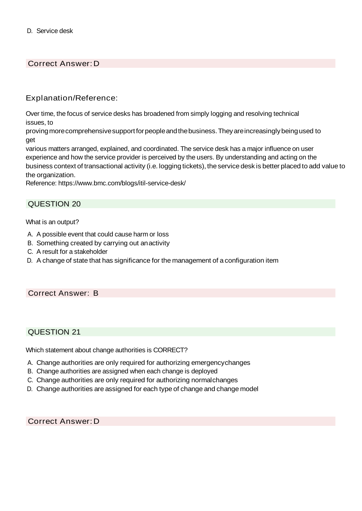# Correct Answer:D

## Explanation/Reference:

Over time, the focus of service desks has broadened from simply logging and resolving technical issues, to

proving more comprehensive support for people and the business. They are increasingly being used to get

various matters arranged, explained, and coordinated. The service desk has a major influence on user experience and how the service provider is perceived by the users. By understanding and acting on the business context of transactional activity (i.e. logging tickets), theservice desk is better placed to add value to the organization.

Reference: [https://www.bmc.com/blogs/itil-service-desk/](http://www.bmc.com/blogs/itil-service-desk/)

#### QUESTION 20

What is an output?

- A. A possible event that could cause harm or loss
- B. Something created by carrying out anactivity
- C. A result for a stakeholder
- D. A change of state that has significance for the management of a configuration item

#### Correct Answer: B

#### QUESTION 21

Which statement about change authorities is CORRECT?

- A. Change authorities are only required for authorizing emergencychanges
- B. Change authorities are assigned when each change is deployed
- C. Change authorities are only required for authorizing normalchanges
- D. Change authorities are assigned for each type of change and change model

Correct Answer:D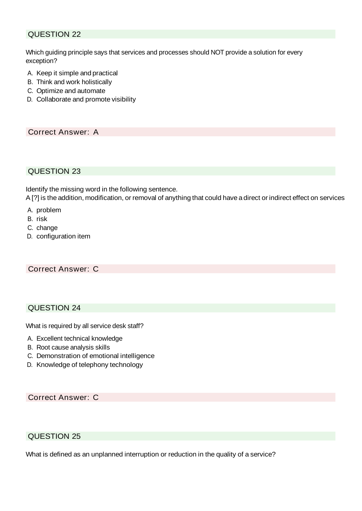Which guiding principle says that services and processes should NOT provide a solution for every exception?

- A. Keep it simple and practical
- B. Think and work holistically
- C. Optimize and automate
- D. Collaborate and promote visibility

Correct Answer: A

#### QUESTION 23

Identify the missing word in the following sentence.

A [?] is the addition, modification, or removal of anything that could have a direct or indirect effect on services

- A. problem
- B. risk
- C. change
- D. configuration item

## Correct Answer: C

## QUESTION 24

What is required by all service desk staff?

- A. Excellent technical knowledge
- B. Root cause analysis skills
- C. Demonstration of emotional intelligence
- D. Knowledge of telephony technology

Correct Answer: C

## QUESTION 25

What is defined as an unplanned interruption or reduction in the quality of a service?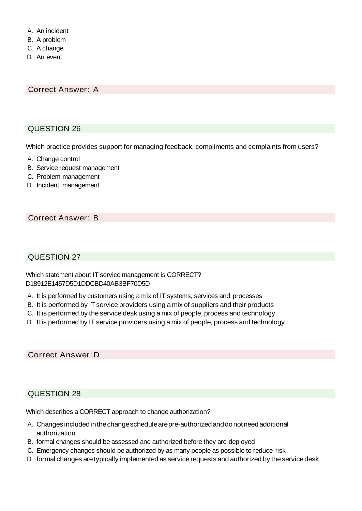- A. An incident
- B. A problem
- C. A change
- D. An event

Correct Answer: A

# QUESTION 26

Which practice provides support for managing feedback, compliments and complaints from users?

- A. Change control
- B. Service request management
- C. Problem management
- D. Incident management

# Correct Answer: B

#### QUESTION 27

Which statement about IT service management is CORRECT? D18912E1457D5D1DDCBD40AB3BF70D5D

- A. It is performed by customers using a mix of IT systems, services and processes
- B. It is performed by IT service providers using a mix of suppliers and their products
- C. It is performed by the service desk using a mix of people, process and technology
- D. It is performed by IT service providers using a mix of people, process and technology

Correct Answer:D

## QUESTION 28

Which describes a CORRECT approach to change authorization?

- A. Changes includedinthechangeschedulearepre-authorizedanddonotneedadditional authorization
- B. formal changes should be assessed and authorized before they are deployed
- C. Emergency changes should be authorized by as many people as possible to reduce risk
- D. formal changes aretypically implemented as service requests and authorized by theservicedesk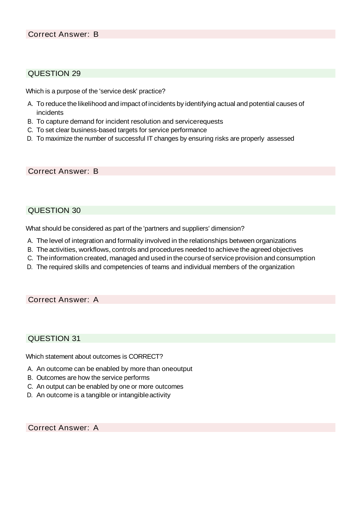Which is a purpose of the 'service desk' practice?

- A. To reduce the likelihood and impact of incidents by identifying actual and potential causes of incidents
- B. To capture demand for incident resolution and servicerequests
- C. To set clear business-based targets for service performance
- D. To maximize the number of successful IT changes by ensuring risks are properly assessed

#### Correct Answer: B

#### QUESTION 30

What should be considered as part of the 'partners and suppliers' dimension?

- A. The level of integration and formality involved in the relationships between organizations
- B. The activities, workflows, controls and procedures needed to achieve the agreed objectives
- C. Theinformation created, managed and used in thecourseof serviceprovision and consumption
- D. The required skills and competencies of teams and individual members of the organization

#### Correct Answer: A

#### QUESTION 31

Which statement about outcomes is CORRECT?

- A. An outcome can be enabled by more than oneoutput
- B. Outcomes are how the service performs
- C. An output can be enabled by one or more outcomes
- D. An outcome is a tangible or intangible activity

Correct Answer: A